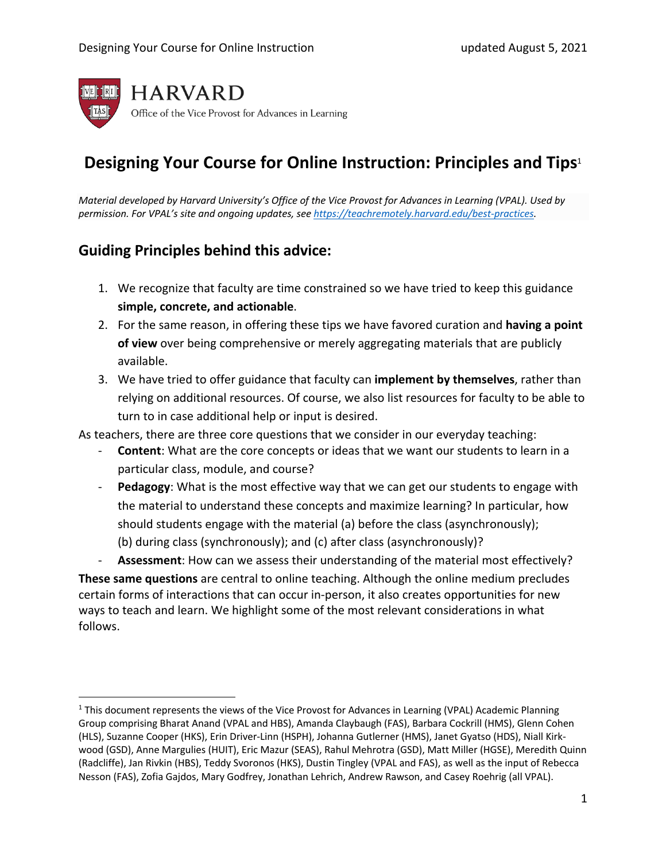

# **Designing Your Course for Online Instruction: Principles and Tips**<sup>1</sup>

*Material developed by Harvard University's Office of the Vice Provost for Advances in Learning (VPAL). Used by permission. For VPAL's site and ongoing updates, see https://teachremotely.harvard.edu/best-practices.* 

## **Guiding Principles behind this advice:**

- 1. We recognize that faculty are time constrained so we have tried to keep this guidance **simple, concrete, and actionable**.
- 2. For the same reason, in offering these tips we have favored curation and **having a point of view** over being comprehensive or merely aggregating materials that are publicly available.
- 3. We have tried to offer guidance that faculty can **implement by themselves**, rather than relying on additional resources. Of course, we also list resources for faculty to be able to turn to in case additional help or input is desired.

As teachers, there are three core questions that we consider in our everyday teaching:

- **Content:** What are the core concepts or ideas that we want our students to learn in a particular class, module, and course?
- **Pedagogy:** What is the most effective way that we can get our students to engage with the material to understand these concepts and maximize learning? In particular, how should students engage with the material (a) before the class (asynchronously); (b) during class (synchronously); and (c) after class (asynchronously)?

- **Assessment**: How can we assess their understanding of the material most effectively?

**These same questions** are central to online teaching. Although the online medium precludes certain forms of interactions that can occur in-person, it also creates opportunities for new ways to teach and learn. We highlight some of the most relevant considerations in what follows.

 $1$  This document represents the views of the Vice Provost for Advances in Learning (VPAL) Academic Planning Group comprising Bharat Anand (VPAL and HBS), Amanda Claybaugh (FAS), Barbara Cockrill (HMS), Glenn Cohen (HLS), Suzanne Cooper (HKS), Erin Driver-Linn (HSPH), Johanna Gutlerner (HMS), Janet Gyatso (HDS), Niall Kirkwood (GSD), Anne Margulies (HUIT), Eric Mazur (SEAS), Rahul Mehrotra (GSD), Matt Miller (HGSE), Meredith Quinn (Radcliffe), Jan Rivkin (HBS), Teddy Svoronos (HKS), Dustin Tingley (VPAL and FAS), as well as the input of Rebecca Nesson (FAS), Zofia Gajdos, Mary Godfrey, Jonathan Lehrich, Andrew Rawson, and Casey Roehrig (all VPAL).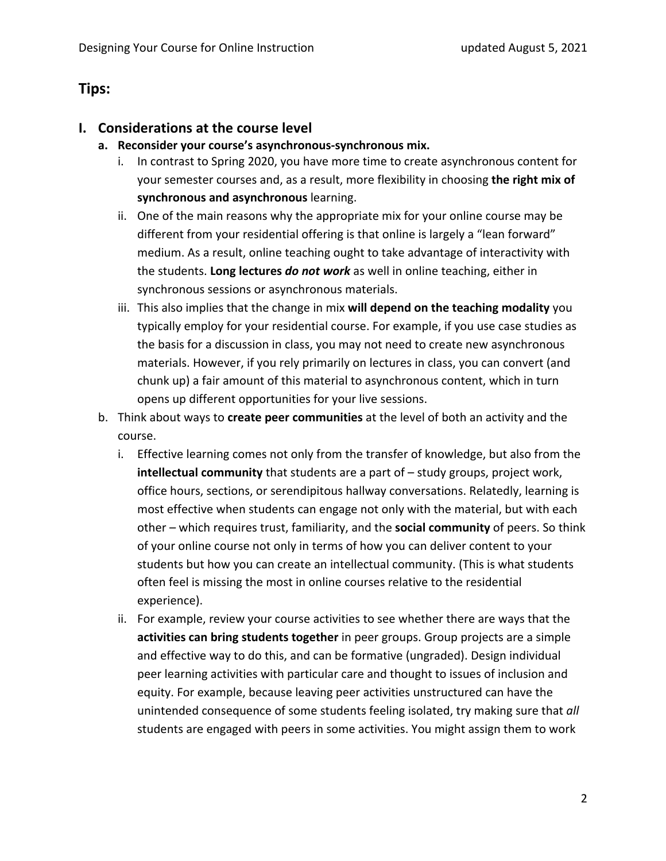## **Tips:**

#### **I. Considerations at the course level**

- **a. Reconsider your course's asynchronous-synchronous mix.**
	- i. In contrast to Spring 2020, you have more time to create asynchronous content for your semester courses and, as a result, more flexibility in choosing **the right mix of synchronous and asynchronous** learning.
	- ii. One of the main reasons why the appropriate mix for your online course may be different from your residential offering is that online is largely a "lean forward" medium. As a result, online teaching ought to take advantage of interactivity with the students. **Long lectures** *do not work* as well in online teaching, either in synchronous sessions or asynchronous materials.
	- iii. This also implies that the change in mix **will depend on the teaching modality** you typically employ for your residential course. For example, if you use case studies as the basis for a discussion in class, you may not need to create new asynchronous materials. However, if you rely primarily on lectures in class, you can convert (and chunk up) a fair amount of this material to asynchronous content, which in turn opens up different opportunities for your live sessions.
- b. Think about ways to **create peer communities** at the level of both an activity and the course.
	- i. Effective learning comes not only from the transfer of knowledge, but also from the **intellectual community** that students are a part of – study groups, project work, office hours, sections, or serendipitous hallway conversations. Relatedly, learning is most effective when students can engage not only with the material, but with each other – which requires trust, familiarity, and the **social community** of peers. So think of your online course not only in terms of how you can deliver content to your students but how you can create an intellectual community. (This is what students often feel is missing the most in online courses relative to the residential experience).
	- ii. For example, review your course activities to see whether there are ways that the **activities can bring students together** in peer groups. Group projects are a simple and effective way to do this, and can be formative (ungraded). Design individual peer learning activities with particular care and thought to issues of inclusion and equity. For example, because leaving peer activities unstructured can have the unintended consequence of some students feeling isolated, try making sure that *all* students are engaged with peers in some activities. You might assign them to work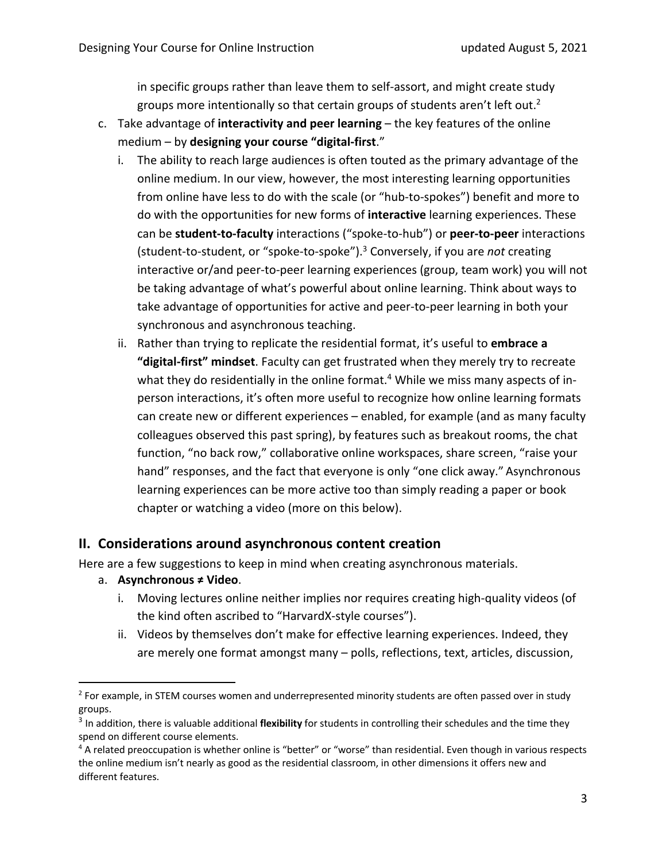in specific groups rather than leave them to self-assort, and might create study groups more intentionally so that certain groups of students aren't left out.<sup>2</sup>

- c. Take advantage of **interactivity and peer learning** the key features of the online medium – by **designing your course "digital-first**."
	- i. The ability to reach large audiences is often touted as the primary advantage of the online medium. In our view, however, the most interesting learning opportunities from online have less to do with the scale (or "hub-to-spokes") benefit and more to do with the opportunities for new forms of **interactive** learning experiences. These can be **student-to-faculty** interactions ("spoke-to-hub") or **peer-to-peer** interactions (student-to-student, or "spoke-to-spoke").3 Conversely, if you are *not* creating interactive or/and peer-to-peer learning experiences (group, team work) you will not be taking advantage of what's powerful about online learning. Think about ways to take advantage of opportunities for active and peer-to-peer learning in both your synchronous and asynchronous teaching.
	- ii. Rather than trying to replicate the residential format, it's useful to **embrace a "digital-first" mindset**. Faculty can get frustrated when they merely try to recreate what they do residentially in the online format.<sup>4</sup> While we miss many aspects of inperson interactions, it's often more useful to recognize how online learning formats can create new or different experiences – enabled, for example (and as many faculty colleagues observed this past spring), by features such as breakout rooms, the chat function, "no back row," collaborative online workspaces, share screen, "raise your hand" responses, and the fact that everyone is only "one click away." Asynchronous learning experiences can be more active too than simply reading a paper or book chapter or watching a video (more on this below).

#### **II. Considerations around asynchronous content creation**

Here are a few suggestions to keep in mind when creating asynchronous materials.

- a. **Asynchronous ≠ Video**.
	- i. Moving lectures online neither implies nor requires creating high-quality videos (of the kind often ascribed to "HarvardX-style courses").
	- ii. Videos by themselves don't make for effective learning experiences. Indeed, they are merely one format amongst many – polls, reflections, text, articles, discussion,

<sup>&</sup>lt;sup>2</sup> For example, in STEM courses women and underrepresented minority students are often passed over in study groups.

<sup>3</sup> In addition, there is valuable additional **flexibility** for students in controlling their schedules and the time they spend on different course elements.<br>4 A related preoccupation is whether online is "better" or "worse" than residential. Even though in various respects

the online medium isn't nearly as good as the residential classroom, in other dimensions it offers new and different features.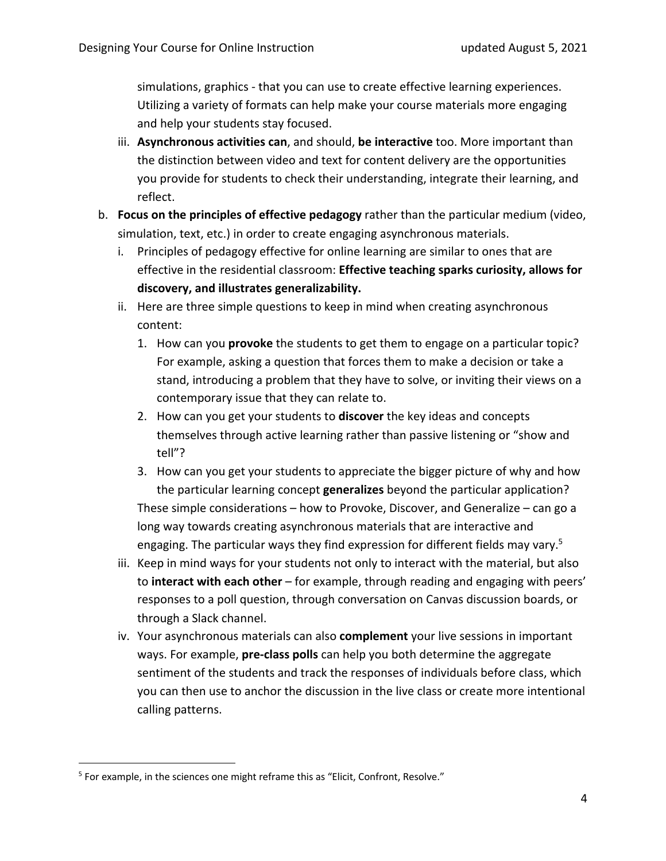simulations, graphics - that you can use to create effective learning experiences. Utilizing a variety of formats can help make your course materials more engaging and help your students stay focused.

- iii. **Asynchronous activities can**, and should, **be interactive** too. More important than the distinction between video and text for content delivery are the opportunities you provide for students to check their understanding, integrate their learning, and reflect.
- b. **Focus on the principles of effective pedagogy** rather than the particular medium (video, simulation, text, etc.) in order to create engaging asynchronous materials.
	- i. Principles of pedagogy effective for online learning are similar to ones that are effective in the residential classroom: **Effective teaching sparks curiosity, allows for discovery, and illustrates generalizability.**
	- ii. Here are three simple questions to keep in mind when creating asynchronous content:
		- 1. How can you **provoke** the students to get them to engage on a particular topic? For example, asking a question that forces them to make a decision or take a stand, introducing a problem that they have to solve, or inviting their views on a contemporary issue that they can relate to.
		- 2. How can you get your students to **discover** the key ideas and concepts themselves through active learning rather than passive listening or "show and tell"?
		- 3. How can you get your students to appreciate the bigger picture of why and how the particular learning concept **generalizes** beyond the particular application? These simple considerations – how to Provoke, Discover, and Generalize – can go a long way towards creating asynchronous materials that are interactive and engaging. The particular ways they find expression for different fields may vary.<sup>5</sup>
	- iii. Keep in mind ways for your students not only to interact with the material, but also to **interact with each other** – for example, through reading and engaging with peers' responses to a poll question, through conversation on Canvas discussion boards, or through a Slack channel.
	- iv. Your asynchronous materials can also **complement** your live sessions in important ways. For example, **pre-class polls** can help you both determine the aggregate sentiment of the students and track the responses of individuals before class, which you can then use to anchor the discussion in the live class or create more intentional calling patterns.

<sup>&</sup>lt;sup>5</sup> For example, in the sciences one might reframe this as "Elicit, Confront, Resolve."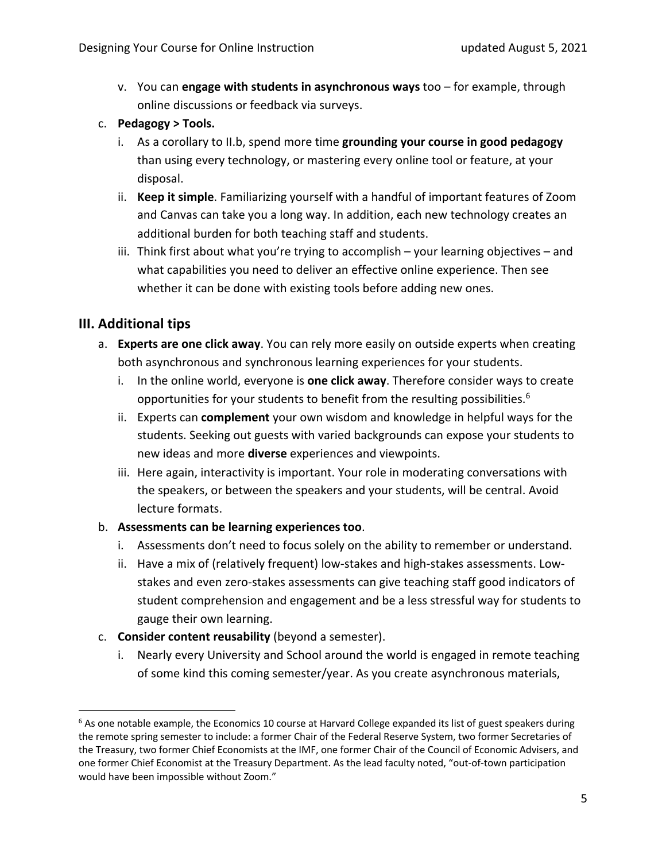- v. You can **engage with students in asynchronous ways** too for example, through online discussions or feedback via surveys.
- c. **Pedagogy > Tools.**
	- i. As a corollary to II.b, spend more time **grounding your course in good pedagogy** than using every technology, or mastering every online tool or feature, at your disposal.
	- ii. **Keep it simple**. Familiarizing yourself with a handful of important features of Zoom and Canvas can take you a long way. In addition, each new technology creates an additional burden for both teaching staff and students.
	- iii. Think first about what you're trying to accomplish your learning objectives and what capabilities you need to deliver an effective online experience. Then see whether it can be done with existing tools before adding new ones.

#### **III. Additional tips**

- a. **Experts are one click away**. You can rely more easily on outside experts when creating both asynchronous and synchronous learning experiences for your students.
	- i. In the online world, everyone is **one click away**. Therefore consider ways to create opportunities for your students to benefit from the resulting possibilities.<sup>6</sup>
	- ii. Experts can **complement** your own wisdom and knowledge in helpful ways for the students. Seeking out guests with varied backgrounds can expose your students to new ideas and more **diverse** experiences and viewpoints.
	- iii. Here again, interactivity is important. Your role in moderating conversations with the speakers, or between the speakers and your students, will be central. Avoid lecture formats.
- b. **Assessments can be learning experiences too**.
	- i. Assessments don't need to focus solely on the ability to remember or understand.
	- ii. Have a mix of (relatively frequent) low-stakes and high-stakes assessments. Lowstakes and even zero-stakes assessments can give teaching staff good indicators of student comprehension and engagement and be a less stressful way for students to gauge their own learning.
- c. **Consider content reusability** (beyond a semester).
	- i. Nearly every University and School around the world is engaged in remote teaching of some kind this coming semester/year. As you create asynchronous materials,

<sup>&</sup>lt;sup>6</sup> As one notable example, the Economics 10 course at Harvard College expanded its list of guest speakers during the remote spring semester to include: a former Chair of the Federal Reserve System, two former Secretaries of the Treasury, two former Chief Economists at the IMF, one former Chair of the Council of Economic Advisers, and one former Chief Economist at the Treasury Department. As the lead faculty noted, "out-of-town participation would have been impossible without Zoom."